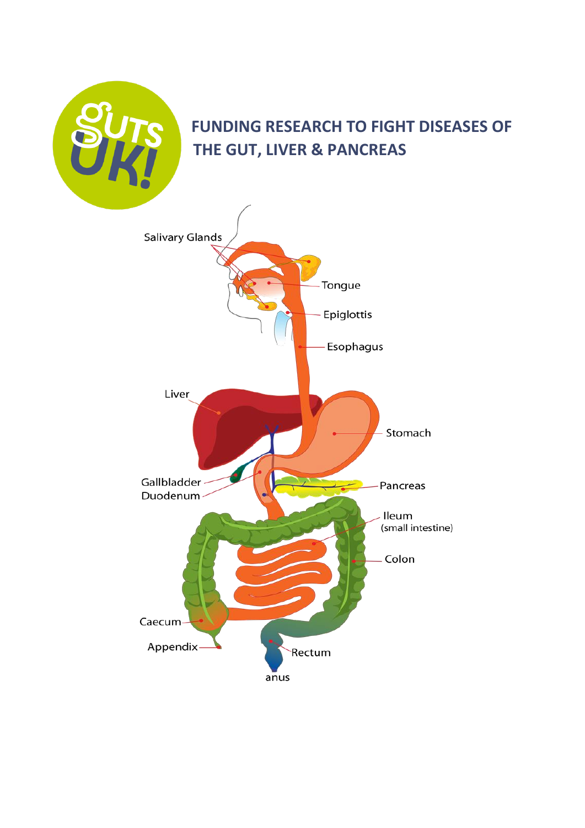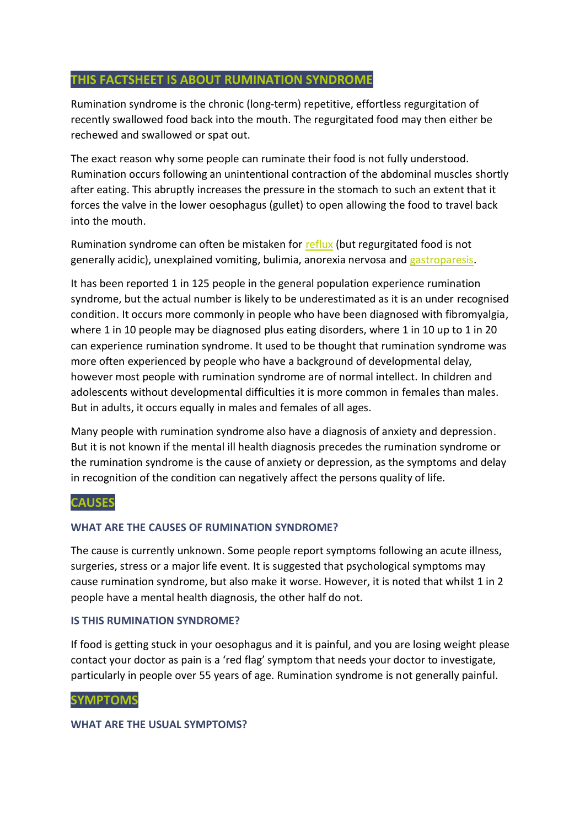# **THIS FACTSHEET IS ABOUT RUMINATION SYNDROME**

Rumination syndrome is the chronic (long-term) repetitive, effortless regurgitation of recently swallowed food back into the mouth. The regurgitated food may then either be rechewed and swallowed or spat out.

The exact reason why some people can ruminate their food is not fully understood. Rumination occurs following an unintentional contraction of the abdominal muscles shortly after eating. This abruptly increases the pressure in the stomach to such an extent that it forces the valve in the lower oesophagus (gullet) to open allowing the food to travel back into the mouth.

Rumination syndrome can often be mistaken for [reflux](https://gutscharity.org.uk/advice-and-information/symptoms/heartburn-and-reflux/) (but regurgitated food is not generally acidic), unexplained vomiting, bulimia, anorexia nervosa and [gastroparesis.](https://gutscharity.org.uk/advice-and-information/conditions/gallstones/)

It has been reported 1 in 125 people in the general population experience rumination syndrome, but the actual number is likely to be underestimated as it is an under recognised condition. It occurs more commonly in people who have been diagnosed with fibromyalgia, where 1 in 10 people may be diagnosed plus eating disorders, where 1 in 10 up to 1 in 20 can experience rumination syndrome. It used to be thought that rumination syndrome was more often experienced by people who have a background of developmental delay, however most people with rumination syndrome are of normal intellect. In children and adolescents without developmental difficulties it is more common in females than males. But in adults, it occurs equally in males and females of all ages.

Many people with rumination syndrome also have a diagnosis of anxiety and depression. But it is not known if the mental ill health diagnosis precedes the rumination syndrome or the rumination syndrome is the cause of anxiety or depression, as the symptoms and delay in recognition of the condition can negatively affect the persons quality of life.

## **CAUSES**

### **WHAT ARE THE CAUSES OF RUMINATION SYNDROME?**

The cause is currently unknown. Some people report symptoms following an acute illness, surgeries, stress or a major life event. It is suggested that psychological symptoms may cause rumination syndrome, but also make it worse. However, it is noted that whilst 1 in 2 people have a mental health diagnosis, the other half do not.

### **IS THIS RUMINATION SYNDROME?**

If food is getting stuck in your oesophagus and it is painful, and you are losing weight please contact your doctor as pain is a 'red flag' symptom that needs your doctor to investigate, particularly in people over 55 years of age. Rumination syndrome is not generally painful.

### **SYMPTOMS**

### **WHAT ARE THE USUAL SYMPTOMS?**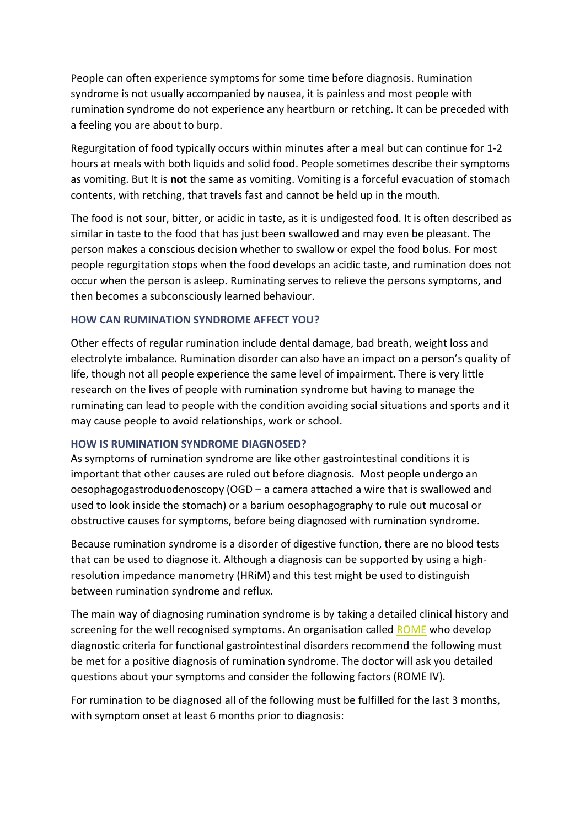People can often experience symptoms for some time before diagnosis. Rumination syndrome is not usually accompanied by nausea, it is painless and most people with rumination syndrome do not experience any heartburn or retching. It can be preceded with a feeling you are about to burp.

Regurgitation of food typically occurs within minutes after a meal but can continue for 1-2 hours at meals with both liquids and solid food. People sometimes describe their symptoms as vomiting. But It is **not** the same as vomiting. Vomiting is a forceful evacuation of stomach contents, with retching, that travels fast and cannot be held up in the mouth.

The food is not sour, bitter, or acidic in taste, as it is undigested food. It is often described as similar in taste to the food that has just been swallowed and may even be pleasant. The person makes a conscious decision whether to swallow or expel the food bolus. For most people regurgitation stops when the food develops an acidic taste, and rumination does not occur when the person is asleep. Ruminating serves to relieve the persons symptoms, and then becomes a subconsciously learned behaviour.

### **HOW CAN RUMINATION SYNDROME AFFECT YOU?**

Other effects of regular rumination include dental damage, bad breath, weight loss and electrolyte imbalance. Rumination disorder can also have an impact on a person's quality of life, though not all people experience the same level of impairment. There is very little research on the lives of people with rumination syndrome but having to manage the ruminating can lead to people with the condition avoiding social situations and sports and it may cause people to avoid relationships, work or school.

### **HOW IS RUMINATION SYNDROME DIAGNOSED?**

As symptoms of rumination syndrome are like other gastrointestinal conditions it is important that other causes are ruled out before diagnosis. Most people undergo an oesophagogastroduodenoscopy (OGD – a camera attached a wire that is swallowed and used to look inside the stomach) or a barium oesophagography to rule out mucosal or obstructive causes for symptoms, before being diagnosed with rumination syndrome.

Because rumination syndrome is a disorder of digestive function, there are no blood tests that can be used to diagnose it. Although a diagnosis can be supported by using a highresolution impedance manometry (HRiM) and this test might be used to distinguish between rumination syndrome and reflux.

The main way of diagnosing rumination syndrome is by taking a detailed clinical history and screening for the well recognised symptoms. An organisation called [ROME](https://theromefoundation.org/) who develop diagnostic criteria for functional gastrointestinal disorders recommend the following must be met for a positive diagnosis of rumination syndrome. The doctor will ask you detailed questions about your symptoms and consider the following factors (ROME IV).

For rumination to be diagnosed all of the following must be fulfilled for the last 3 months, with symptom onset at least 6 months prior to diagnosis: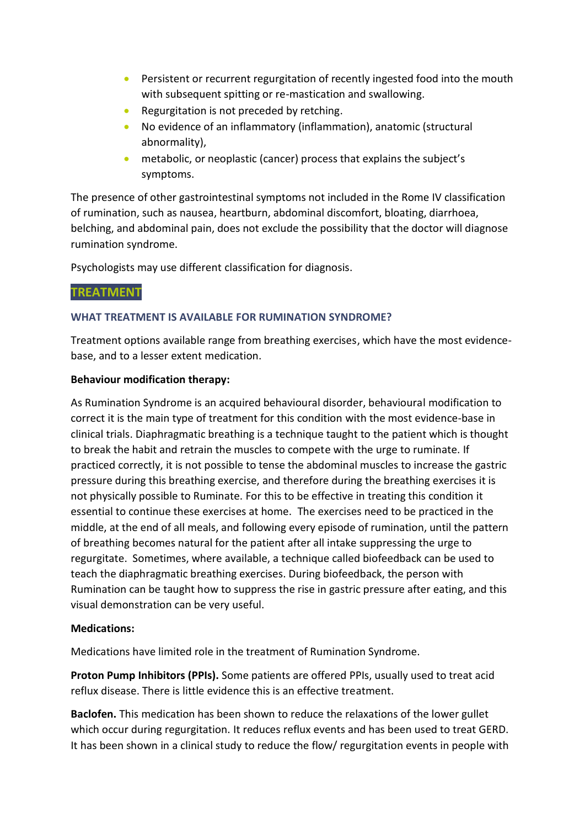- Persistent or recurrent regurgitation of recently ingested food into the mouth with subsequent spitting or re-mastication and swallowing.
- Regurgitation is not preceded by retching.
- No evidence of an inflammatory (inflammation), anatomic (structural abnormality),
- metabolic, or neoplastic (cancer) process that explains the subject's symptoms.

The presence of other gastrointestinal symptoms not included in the Rome IV classification of rumination, such as nausea, heartburn, abdominal discomfort, bloating, diarrhoea, belching, and abdominal pain, does not exclude the possibility that the doctor will diagnose rumination syndrome.

Psychologists may use different classification for diagnosis.

## **TREATMENT**

## **WHAT TREATMENT IS AVAILABLE FOR RUMINATION SYNDROME?**

Treatment options available range from breathing exercises, which have the most evidencebase, and to a lesser extent medication.

### **Behaviour modification therapy:**

As Rumination Syndrome is an acquired behavioural disorder, behavioural modification to correct it is the main type of treatment for this condition with the most evidence-base in clinical trials. Diaphragmatic breathing is a technique taught to the patient which is thought to break the habit and retrain the muscles to compete with the urge to ruminate. If practiced correctly, it is not possible to tense the abdominal muscles to increase the gastric pressure during this breathing exercise, and therefore during the breathing exercises it is not physically possible to Ruminate. For this to be effective in treating this condition it essential to continue these exercises at home. The exercises need to be practiced in the middle, at the end of all meals, and following every episode of rumination, until the pattern of breathing becomes natural for the patient after all intake suppressing the urge to regurgitate. Sometimes, where available, a technique called biofeedback can be used to teach the diaphragmatic breathing exercises. During biofeedback, the person with Rumination can be taught how to suppress the rise in gastric pressure after eating, and this visual demonstration can be very useful.

## **Medications:**

Medications have limited role in the treatment of Rumination Syndrome.

**Proton Pump Inhibitors (PPIs).** Some patients are offered PPIs, usually used to treat acid reflux disease. There is little evidence this is an effective treatment.

**Baclofen.** This medication has been shown to reduce the relaxations of the lower gullet which occur during regurgitation. It reduces reflux events and has been used to treat GERD. It has been shown in a clinical study to reduce the flow/ regurgitation events in people with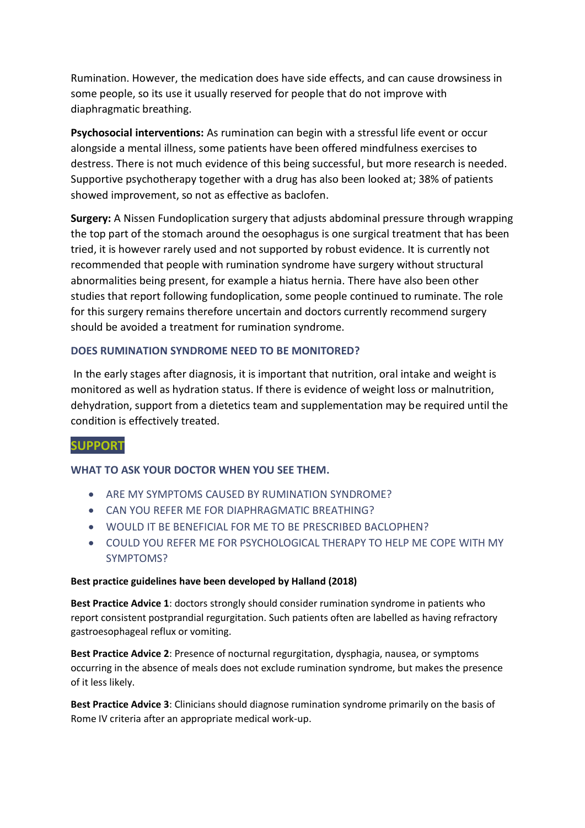Rumination. However, the medication does have side effects, and can cause drowsiness in some people, so its use it usually reserved for people that do not improve with diaphragmatic breathing.

**Psychosocial interventions:** As rumination can begin with a stressful life event or occur alongside a mental illness, some patients have been offered mindfulness exercises to destress. There is not much evidence of this being successful, but more research is needed. Supportive psychotherapy together with a drug has also been looked at; 38% of patients showed improvement, so not as effective as baclofen.

**Surgery:** A Nissen Fundoplication surgery that adjusts abdominal pressure through wrapping the top part of the stomach around the oesophagus is one surgical treatment that has been tried, it is however rarely used and not supported by robust evidence. It is currently not recommended that people with rumination syndrome have surgery without structural abnormalities being present, for example a hiatus hernia. There have also been other studies that report following fundoplication, some people continued to ruminate. The role for this surgery remains therefore uncertain and doctors currently recommend surgery should be avoided a treatment for rumination syndrome.

### **DOES RUMINATION SYNDROME NEED TO BE MONITORED?**

In the early stages after diagnosis, it is important that nutrition, oral intake and weight is monitored as well as hydration status. If there is evidence of weight loss or malnutrition, dehydration, support from a dietetics team and supplementation may be required until the condition is effectively treated.

### **SUPPORT**

### **WHAT TO ASK YOUR DOCTOR WHEN YOU SEE THEM.**

- ARE MY SYMPTOMS CAUSED BY RUMINATION SYNDROME?
- CAN YOU REFER ME FOR DIAPHRAGMATIC BREATHING?
- WOULD IT BE BENEFICIAL FOR ME TO BE PRESCRIBED BACLOPHEN?
- COULD YOU REFER ME FOR PSYCHOLOGICAL THERAPY TO HELP ME COPE WITH MY SYMPTOMS?

#### **Best practice guidelines have been developed by Halland (2018)**

**Best Practice Advice 1**: doctors strongly should consider rumination syndrome in patients who report consistent postprandial regurgitation. Such patients often are labelled as having refractory gastroesophageal reflux or vomiting.

**Best Practice Advice 2**: Presence of nocturnal regurgitation, dysphagia, nausea, or symptoms occurring in the absence of meals does not exclude rumination syndrome, but makes the presence of it less likely.

**Best Practice Advice 3**: Clinicians should diagnose rumination syndrome primarily on the basis of Rome IV criteria after an appropriate medical work-up.